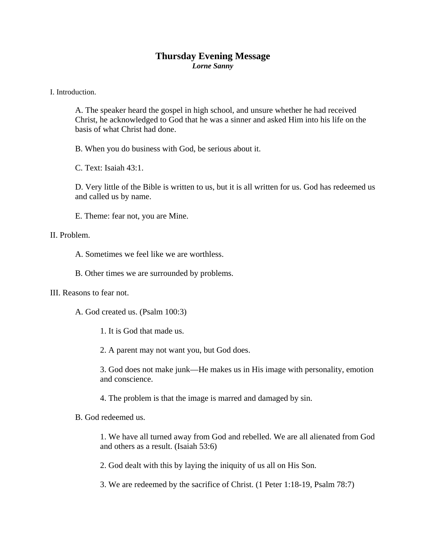## **Thursday Evening Message**  *Lorne Sanny*

I. Introduction.

A. The speaker heard the gospel in high school, and unsure whether he had received Christ, he acknowledged to God that he was a sinner and asked Him into his life on the basis of what Christ had done.

B. When you do business with God, be serious about it.

C. Text: Isaiah 43:1.

D. Very little of the Bible is written to us, but it is all written for us. God has redeemed us and called us by name.

E. Theme: fear not, you are Mine.

## II. Problem.

A. Sometimes we feel like we are worthless.

B. Other times we are surrounded by problems.

III. Reasons to fear not.

A. God created us. (Psalm 100:3)

1. It is God that made us.

2. A parent may not want you, but God does.

3. God does not make junk—He makes us in His image with personality, emotion and conscience.

4. The problem is that the image is marred and damaged by sin.

B. God redeemed us.

1. We have all turned away from God and rebelled. We are all alienated from God and others as a result. (Isaiah 53:6)

2. God dealt with this by laying the iniquity of us all on His Son.

3. We are redeemed by the sacrifice of Christ. (1 Peter 1:18-19, Psalm 78:7)